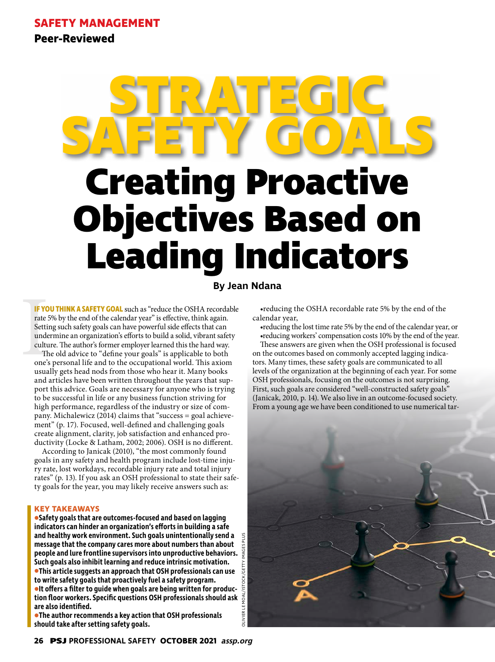**Peer-Reviewed**

# **Creating Proactive Objectives Based on Leading Indicators STRATEGIC SAFETY GOALS**

**By Jean Ndana**

IF YO<br>
rate !<br>
Setti:<br>
unde<br>
cultu<br>
Th<br>
one's<br>
usua **IF YOU THINK A SAFETY GOAL** such as "reduce the OSHA recordable rate 5% by the end of the calendar year" is effective, think again. Setting such safety goals can have powerful side effects that can undermine an organization's efforts to build a solid, vibrant safety culture. The author's former employer learned this the hard way.

The old advice to "define your goals" is applicable to both one's personal life and to the occupational world. This axiom usually gets head nods from those who hear it. Many books and articles have been written throughout the years that support this advice. Goals are necessary for anyone who is trying to be successful in life or any business function striving for high performance, regardless of the industry or size of company. Michalewicz (2014) claims that "success = goal achievement" (p. 17). Focused, well-defined and challenging goals create alignment, clarity, job satisfaction and enhanced productivity (Locke & Latham, 2002; 2006). OSH is no different.

According to Janicak (2010), "the most commonly found goals in any safety and health program include lost-time injury rate, lost workdays, recordable injury rate and total injury rates" (p. 13). If you ask an OSH professional to state their safety goals for the year, you may likely receive answers such as:

## **KEY TAKEAWAYS**

**•Safety goals that are outcomes-focused and based on lagging indicators can hinder an organization's efforts in building a safe and healthy work environment. Such goals unintentionally send a message that the company cares more about numbers than about people and lure frontline supervisors into unproductive behaviors. Such goals also inhibit learning and reduce intrinsic motivation. •This article suggests an approach that OSH professionals can use to write safety goals that proactively fuel a safety program. •It offers a filter to guide when goals are being written for production floor workers. Specific questions OSH professionals should ask are also identified.**

**•The author recommends a key action that OSH professionals should take after setting safety goals.**

•reducing the OSHA recordable rate 5% by the end of the calendar year,

•reducing the lost time rate 5% by the end of the calendar year, or •reducing workers' compensation costs 10% by the end of the year.

These answers are given when the OSH professional is focused on the outcomes based on commonly accepted lagging indicators. Many times, these safety goals are communicated to all levels of the organization at the beginning of each year. For some OSH professionals, focusing on the outcomes is not surprising. First, such goals are considered "well-constructed safety goals" (Janicak, 2010, p. 14). We also live in an outcome-focused society. From a young age we have been conditioned to use numerical tar-

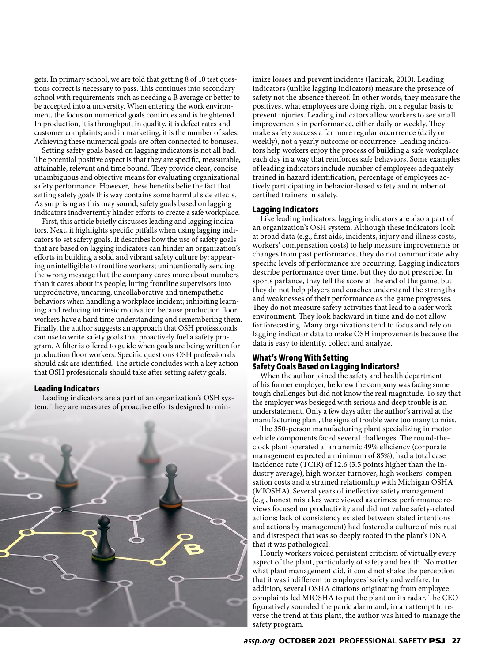gets. In primary school, we are told that getting 8 of 10 test questions correct is necessary to pass. This continues into secondary school with requirements such as needing a B average or better to be accepted into a university. When entering the work environment, the focus on numerical goals continues and is heightened. In production, it is throughput; in quality, it is defect rates and customer complaints; and in marketing, it is the number of sales. Achieving these numerical goals are often connected to bonuses.

Setting safety goals based on lagging indicators is not all bad. The potential positive aspect is that they are specific, measurable, attainable, relevant and time bound. They provide clear, concise, unambiguous and objective means for evaluating organizational safety performance. However, these benefits belie the fact that setting safety goals this way contains some harmful side effects. As surprising as this may sound, safety goals based on lagging indicators inadvertently hinder efforts to create a safe workplace.

First, this article briefly discusses leading and lagging indicators. Next, it highlights specific pitfalls when using lagging indicators to set safety goals. It describes how the use of safety goals that are based on lagging indicators can hinder an organization's efforts in building a solid and vibrant safety culture by: appearing unintelligible to frontline workers; unintentionally sending the wrong message that the company cares more about numbers than it cares about its people; luring frontline supervisors into unproductive, uncaring, uncollaborative and unempathetic behaviors when handling a workplace incident; inhibiting learning; and reducing intrinsic motivation because production floor workers have a hard time understanding and remembering them. Finally, the author suggests an approach that OSH professionals can use to write safety goals that proactively fuel a safety program. A filter is offered to guide when goals are being written for production floor workers. Specific questions OSH professionals should ask are identified. The article concludes with a key action that OSH professionals should take after setting safety goals.

#### **Leading Indicators**

Leading indicators are a part of an organization's OSH system. They are measures of proactive efforts designed to min-



imize losses and prevent incidents (Janicak, 2010). Leading indicators (unlike lagging indicators) measure the presence of safety not the absence thereof. In other words, they measure the positives, what employees are doing right on a regular basis to prevent injuries. Leading indicators allow workers to see small improvements in performance, either daily or weekly. They make safety success a far more regular occurrence (daily or weekly), not a yearly outcome or occurrence. Leading indicators help workers enjoy the process of building a safe workplace each day in a way that reinforces safe behaviors. Some examples of leading indicators include number of employees adequately trained in hazard identification, percentage of employees actively participating in behavior-based safety and number of certified trainers in safety.

## **Lagging Indicators**

Like leading indicators, lagging indicators are also a part of an organization's OSH system. Although these indicators look at broad data (e.g., first aids, incidents, injury and illness costs, workers' compensation costs) to help measure improvements or changes from past performance, they do not communicate why specific levels of performance are occurring. Lagging indicators describe performance over time, but they do not prescribe. In sports parlance, they tell the score at the end of the game, but they do not help players and coaches understand the strengths and weaknesses of their performance as the game progresses. They do not measure safety activities that lead to a safer work environment. They look backward in time and do not allow for forecasting. Many organizations tend to focus and rely on lagging indicator data to make OSH improvements because the data is easy to identify, collect and analyze.

# **What's Wrong With Setting Safety Goals Based on Lagging Indicators?**

When the author joined the safety and health department of his former employer, he knew the company was facing some tough challenges but did not know the real magnitude. To say that the employer was besieged with serious and deep trouble is an understatement. Only a few days after the author's arrival at the manufacturing plant, the signs of trouble were too many to miss.

The 350-person manufacturing plant specializing in motor vehicle components faced several challenges. The round-theclock plant operated at an anemic 49% efficiency (corporate management expected a minimum of 85%), had a total case incidence rate (TCIR) of 12.6 (3.5 points higher than the industry average), high worker turnover, high workers' compensation costs and a strained relationship with Michigan OSHA (MIOSHA). Several years of ineffective safety management (e.g., honest mistakes were viewed as crimes; performance reviews focused on productivity and did not value safety-related actions; lack of consistency existed between stated intentions and actions by management) had fostered a culture of mistrust and disrespect that was so deeply rooted in the plant's DNA that it was pathological.

Hourly workers voiced persistent criticism of virtually every aspect of the plant, particularly of safety and health. No matter what plant management did, it could not shake the perception that it was indifferent to employees' safety and welfare. In addition, several OSHA citations originating from employee complaints led MIOSHA to put the plant on its radar. The CEO figuratively sounded the panic alarm and, in an attempt to reverse the trend at this plant, the author was hired to manage the safety program.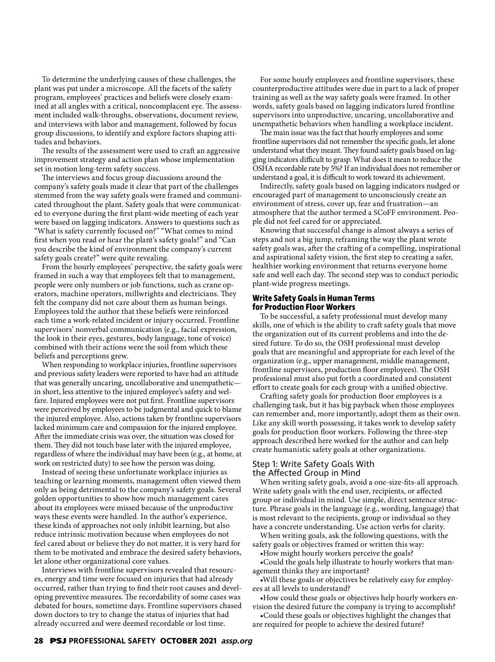To determine the underlying causes of these challenges, the plant was put under a microscope. All the facets of the safety program, employees' practices and beliefs were closely examined at all angles with a critical, noncomplacent eye. The assessment included walk-throughs, observations, document review, and interviews with labor and management, followed by focus group discussions, to identify and explore factors shaping attitudes and behaviors.

The results of the assessment were used to craft an aggressive improvement strategy and action plan whose implementation set in motion long-term safety success.

The interviews and focus group discussions around the company's safety goals made it clear that part of the challenges stemmed from the way safety goals were framed and communicated throughout the plant. Safety goals that were communicated to everyone during the first plant-wide meeting of each year were based on lagging indicators. Answers to questions such as "What is safety currently focused on?" "What comes to mind first when you read or hear the plant's safety goals?" and "Can you describe the kind of environment the company's current safety goals create?" were quite revealing.

From the hourly employees' perspective, the safety goals were framed in such a way that employees felt that to management, people were only numbers or job functions, such as crane operators, machine operators, millwrights and electricians. They felt the company did not care about them as human beings. Employees told the author that these beliefs were reinforced each time a work-related incident or injury occurred. Frontline supervisors' nonverbal communication (e.g., facial expression, the look in their eyes, gestures, body language, tone of voice) combined with their actions were the soil from which these beliefs and perceptions grew.

When responding to workplace injuries, frontline supervisors and previous safety leaders were reported to have had an attitude that was generally uncaring, uncollaborative and unempathetic in short, less attentive to the injured employee's safety and welfare. Injured employees were not put first. Frontline supervisors were perceived by employees to be judgmental and quick to blame the injured employee. Also, actions taken by frontline supervisors lacked minimum care and compassion for the injured employee. After the immediate crisis was over, the situation was closed for them. They did not touch base later with the injured employee, regardless of where the individual may have been (e.g., at home, at work on restricted duty) to see how the person was doing.

Instead of seeing these unfortunate workplace injuries as teaching or learning moments, management often viewed them only as being detrimental to the company's safety goals. Several golden opportunities to show how much management cares about its employees were missed because of the unproductive ways these events were handled. In the author's experience, these kinds of approaches not only inhibit learning, but also reduce intrinsic motivation because when employees do not feel cared about or believe they do not matter, it is very hard for them to be motivated and embrace the desired safety behaviors, let alone other organizational core values.

Interviews with frontline supervisors revealed that resources, energy and time were focused on injuries that had already occurred, rather than trying to find their root causes and developing preventive measures. The recordability of some cases was debated for hours, sometime days. Frontline supervisors chased down doctors to try to change the status of injuries that had already occurred and were deemed recordable or lost time.

For some hourly employees and frontline supervisors, these counterproductive attitudes were due in part to a lack of proper training as well as the way safety goals were framed. In other words, safety goals based on lagging indicators lured frontline supervisors into unproductive, uncaring, uncollaborative and unempathetic behaviors when handling a workplace incident.

The main issue was the fact that hourly employees and some frontline supervisors did not remember the specific goals, let alone understand what they meant. They found safety goals based on lagging indicators difficult to grasp. What does it mean to reduce the OSHA recordable rate by 5%? If an individual does not remember or understand a goal, it is difficult to work toward its achievement.

Indirectly, safety goals based on lagging indicators nudged or encouraged part of management to unconsciously create an environment of stress, cover up, fear and frustration—an atmosphere that the author termed a SCoFF environment. People did not feel cared for or appreciated.

Knowing that successful change is almost always a series of steps and not a big jump, reframing the way the plant wrote safety goals was, after the crafting of a compelling, inspirational and aspirational safety vision, the first step to creating a safer, healthier working environment that returns everyone home safe and well each day. The second step was to conduct periodic plant-wide progress meetings.

## **Write Safety Goals in Human Terms for Production Floor Workers**

To be successful, a safety professional must develop many skills, one of which is the ability to craft safety goals that move the organization out of its current problems and into the desired future. To do so, the OSH professional must develop goals that are meaningful and appropriate for each level of the organization (e.g., upper management, middle management, frontline supervisors, production floor employees). The OSH professional must also put forth a coordinated and consistent effort to create goals for each group with a unified objective.

Crafting safety goals for production floor employees is a challenging task, but it has big payback when those employees can remember and, more importantly, adopt them as their own. Like any skill worth possessing, it takes work to develop safety goals for production floor workers. Following the three-step approach described here worked for the author and can help create humanistic safety goals at other organizations.

## Step 1: Write Safety Goals With the Affected Group in Mind

When writing safety goals, avoid a one-size-fits-all approach. Write safety goals with the end user, recipients, or affected group or individual in mind. Use simple, direct sentence structure. Phrase goals in the language (e.g., wording, language) that is most relevant to the recipients, group or individual so they have a concrete understanding. Use action verbs for clarity.

When writing goals, ask the following questions, with the safety goals or objectives framed or written this way:

•How might hourly workers perceive the goals?

•Could the goals help illustrate to hourly workers that management thinks they are important?

•Will these goals or objectives be relatively easy for employees at all levels to understand?

•How could these goals or objectives help hourly workers envision the desired future the company is trying to accomplish?

•Could these goals or objectives highlight the changes that are required for people to achieve the desired future?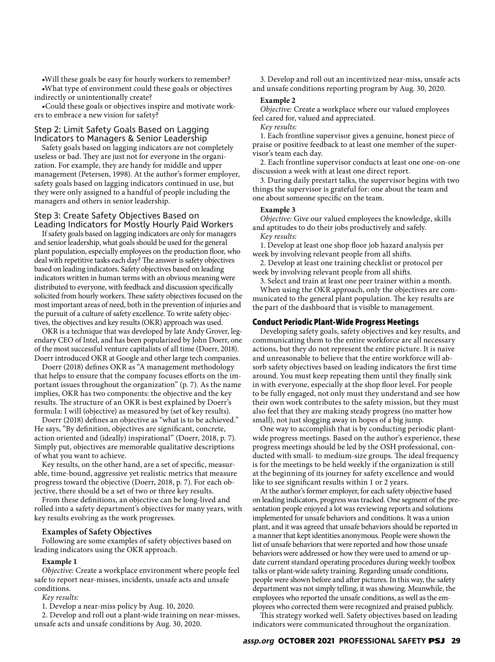•Will these goals be easy for hourly workers to remember? •What type of environment could these goals or objectives indirectly or unintentionally create?

•Could these goals or objectives inspire and motivate workers to embrace a new vision for safety?

# Step 2: Limit Safety Goals Based on Lagging Indicators to Managers & Senior Leadership

Safety goals based on lagging indicators are not completely useless or bad. They are just not for everyone in the organization. For example, they are handy for middle and upper management (Petersen, 1998). At the author's former employer, safety goals based on lagging indicators continued in use, but they were only assigned to a handful of people including the managers and others in senior leadership.

# Step 3: Create Safety Objectives Based on Leading Indicators for Mostly Hourly Paid Workers

If safety goals based on lagging indicators are only for managers and senior leadership, what goals should be used for the general plant population, especially employees on the production floor, who deal with repetitive tasks each day? The answer is safety objectives based on leading indicators. Safety objectives based on leading indicators written in human terms with an obvious meaning were distributed to everyone, with feedback and discussion specifically solicited from hourly workers. These safety objectives focused on the most important areas of need, both in the prevention of injuries and the pursuit of a culture of safety excellence. To write safety objectives, the objectives and key results (OKR) approach was used.

OKR is a technique that was developed by late Andy Grover, legendary CEO of Intel, and has been popularized by John Doerr, one of the most successful venture capitalists of all time (Doerr, 2018). Doerr introduced OKR at Google and other large tech companies.

Doerr (2018) defines OKR as "A management methodology that helps to ensure that the company focuses efforts on the important issues throughout the organization" (p. 7). As the name implies, OKR has two components: the objective and the key results. The structure of an OKR is best explained by Doerr's formula: I will (objective) as measured by (set of key results).

Doerr (2018) defines an objective as "what is to be achieved." He says, "By definition, objectives are significant, concrete, action oriented and (ideally) inspirational" (Doerr, 2018, p. 7). Simply put, objectives are memorable qualitative descriptions of what you want to achieve.

Key results, on the other hand, are a set of specific, measurable, time-bound, aggressive yet realistic metrics that measure progress toward the objective (Doerr, 2018, p. 7). For each objective, there should be a set of two or three key results.

From these definitions, an objective can be long-lived and rolled into a safety department's objectives for many years, with key results evolving as the work progresses.

## **Examples of Safety Objectives**

Following are some examples of safety objectives based on leading indicators using the OKR approach.

## **Example 1**

*Objective:* Create a workplace environment where people feel safe to report near-misses, incidents, unsafe acts and unsafe conditions.

*Key results:*

1. Develop a near-miss policy by Aug. 10, 2020.

2. Develop and roll out a plant-wide training on near-misses, unsafe acts and unsafe conditions by Aug. 30, 2020.

3. Develop and roll out an incentivized near-miss, unsafe acts and unsafe conditions reporting program by Aug. 30, 2020.

#### **Example 2**

*Objective:* Create a workplace where our valued employees feel cared for, valued and appreciated.

*Key results:*

1. Each frontline supervisor gives a genuine, honest piece of praise or positive feedback to at least one member of the supervisor's team each day.

2. Each frontline supervisor conducts at least one one-on-one discussion a week with at least one direct report.

3. During daily prestart talks, the supervisor begins with two things the supervisor is grateful for: one about the team and one about someone specific on the team.

## **Example 3**

*Objective:* Give our valued employees the knowledge, skills and aptitudes to do their jobs productively and safely. *Key results:*

1. Develop at least one shop floor job hazard analysis per week by involving relevant people from all shifts.

2. Develop at least one training checklist or protocol per week by involving relevant people from all shifts.

3. Select and train at least one peer trainer within a month. When using the OKR approach, only the objectives are communicated to the general plant population. The key results are the part of the dashboard that is visible to management.

## **Conduct Periodic Plant-Wide Progress Meetings**

Developing safety goals, safety objectives and key results, and communicating them to the entire workforce are all necessary actions, but they do not represent the entire picture. It is naive and unreasonable to believe that the entire workforce will absorb safety objectives based on leading indicators the first time around. You must keep repeating them until they finally sink in with everyone, especially at the shop floor level. For people to be fully engaged, not only must they understand and see how their own work contributes to the safety mission, but they must also feel that they are making steady progress (no matter how small), not just slogging away in hopes of a big jump.

One way to accomplish that is by conducting periodic plantwide progress meetings. Based on the author's experience, these progress meetings should be led by the OSH professional, conducted with small- to medium-size groups. The ideal frequency is for the meetings to be held weekly if the organization is still at the beginning of its journey for safety excellence and would like to see significant results within 1 or 2 years.

At the author's former employer, for each safety objective based on leading indicators, progress was tracked. One segment of the presentation people enjoyed a lot was reviewing reports and solutions implemented for unsafe behaviors and conditions. It was a union plant, and it was agreed that unsafe behaviors should be reported in a manner that kept identities anonymous. People were shown the list of unsafe behaviors that were reported and how those unsafe behaviors were addressed or how they were used to amend or update current standard operating procedures during weekly toolbox talks or plant-wide safety training. Regarding unsafe conditions, people were shown before and after pictures. In this way, the safety department was not simply telling, it was showing. Meanwhile, the employees who reported the unsafe conditions, as well as the employees who corrected them were recognized and praised publicly.

This strategy worked well. Safety objectives based on leading indicators were communicated throughout the organization.